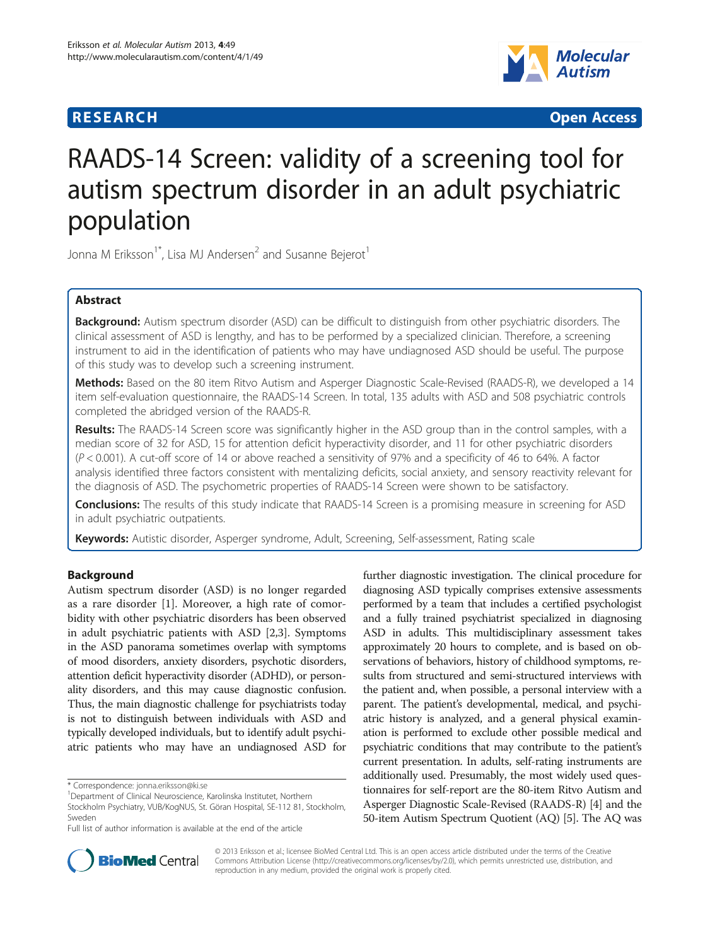## **RESEARCH CHINESE ARCH CHINESE ARCH CHINESE ARCH <b>CHINESE ARCH**



# RAADS-14 Screen: validity of a screening tool for autism spectrum disorder in an adult psychiatric population

Jonna M Eriksson<sup>1\*</sup>, Lisa MJ Andersen<sup>2</sup> and Susanne Bejerot<sup>1</sup>

### Abstract

Background: Autism spectrum disorder (ASD) can be difficult to distinguish from other psychiatric disorders. The clinical assessment of ASD is lengthy, and has to be performed by a specialized clinician. Therefore, a screening instrument to aid in the identification of patients who may have undiagnosed ASD should be useful. The purpose of this study was to develop such a screening instrument.

Methods: Based on the 80 item Ritvo Autism and Asperger Diagnostic Scale-Revised (RAADS-R), we developed a 14 item self-evaluation questionnaire, the RAADS-14 Screen. In total, 135 adults with ASD and 508 psychiatric controls completed the abridged version of the RAADS-R.

Results: The RAADS-14 Screen score was significantly higher in the ASD group than in the control samples, with a median score of 32 for ASD, 15 for attention deficit hyperactivity disorder, and 11 for other psychiatric disorders (P < 0.001). A cut-off score of 14 or above reached a sensitivity of 97% and a specificity of 46 to 64%. A factor analysis identified three factors consistent with mentalizing deficits, social anxiety, and sensory reactivity relevant for the diagnosis of ASD. The psychometric properties of RAADS-14 Screen were shown to be satisfactory.

**Conclusions:** The results of this study indicate that RAADS-14 Screen is a promising measure in screening for ASD in adult psychiatric outpatients.

Keywords: Autistic disorder, Asperger syndrome, Adult, Screening, Self-assessment, Rating scale

### Background

Autism spectrum disorder (ASD) is no longer regarded as a rare disorder [[1\]](#page-10-0). Moreover, a high rate of comorbidity with other psychiatric disorders has been observed in adult psychiatric patients with ASD [\[2,3](#page-10-0)]. Symptoms in the ASD panorama sometimes overlap with symptoms of mood disorders, anxiety disorders, psychotic disorders, attention deficit hyperactivity disorder (ADHD), or personality disorders, and this may cause diagnostic confusion. Thus, the main diagnostic challenge for psychiatrists today is not to distinguish between individuals with ASD and typically developed individuals, but to identify adult psychiatric patients who may have an undiagnosed ASD for further diagnostic investigation. The clinical procedure for diagnosing ASD typically comprises extensive assessments performed by a team that includes a certified psychologist and a fully trained psychiatrist specialized in diagnosing ASD in adults. This multidisciplinary assessment takes approximately 20 hours to complete, and is based on observations of behaviors, history of childhood symptoms, results from structured and semi-structured interviews with the patient and, when possible, a personal interview with a parent. The patient's developmental, medical, and psychiatric history is analyzed, and a general physical examination is performed to exclude other possible medical and psychiatric conditions that may contribute to the patient's current presentation. In adults, self-rating instruments are additionally used. Presumably, the most widely used questionnaires for self-report are the 80-item Ritvo Autism and Asperger Diagnostic Scale-Revised (RAADS-R) [[4\]](#page-10-0) and the 50-item Autism Spectrum Quotient (AQ) [[5](#page-10-0)]. The AQ was



© 2013 Eriksson et al.; licensee BioMed Central Ltd. This is an open access article distributed under the terms of the Creative Commons Attribution License [\(http://creativecommons.org/licenses/by/2.0\)](http://creativecommons.org/licenses/by/2.0), which permits unrestricted use, distribution, and reproduction in any medium, provided the original work is properly cited.

<sup>\*</sup> Correspondence: [jonna.eriksson@ki.se](mailto:jonna.eriksson@ki.se) <sup>1</sup>

<sup>&</sup>lt;sup>1</sup>Department of Clinical Neuroscience, Karolinska Institutet, Northern

Stockholm Psychiatry, VUB/KogNUS, St. Göran Hospital, SE-112 81, Stockholm, Sweden

Full list of author information is available at the end of the article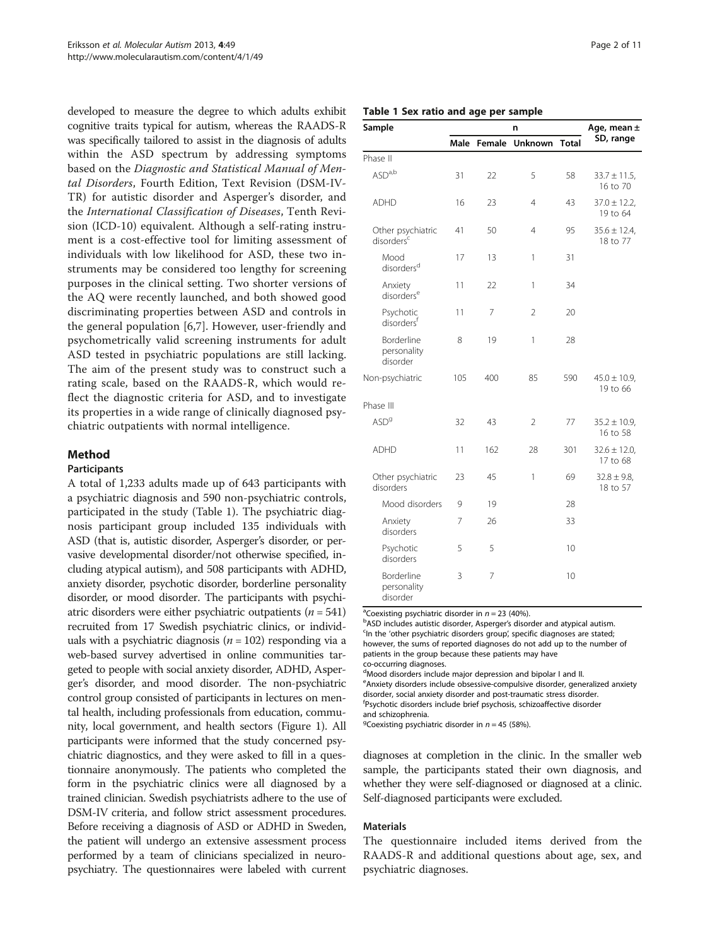<span id="page-1-0"></span>developed to measure the degree to which adults exhibit cognitive traits typical for autism, whereas the RAADS-R was specifically tailored to assist in the diagnosis of adults within the ASD spectrum by addressing symptoms based on the Diagnostic and Statistical Manual of Mental Disorders, Fourth Edition, Text Revision (DSM-IV-TR) for autistic disorder and Asperger's disorder, and the International Classification of Diseases, Tenth Revision (ICD-10) equivalent. Although a self-rating instrument is a cost-effective tool for limiting assessment of individuals with low likelihood for ASD, these two instruments may be considered too lengthy for screening purposes in the clinical setting. Two shorter versions of the AQ were recently launched, and both showed good discriminating properties between ASD and controls in the general population [\[6,7](#page-10-0)]. However, user-friendly and psychometrically valid screening instruments for adult ASD tested in psychiatric populations are still lacking. The aim of the present study was to construct such a rating scale, based on the RAADS-R, which would reflect the diagnostic criteria for ASD, and to investigate its properties in a wide range of clinically diagnosed psychiatric outpatients with normal intelligence.

## Method

#### Participants

A total of 1,233 adults made up of 643 participants with a psychiatric diagnosis and 590 non-psychiatric controls, participated in the study (Table 1). The psychiatric diagnosis participant group included 135 individuals with ASD (that is, autistic disorder, Asperger's disorder, or pervasive developmental disorder/not otherwise specified, including atypical autism), and 508 participants with ADHD, anxiety disorder, psychotic disorder, borderline personality disorder, or mood disorder. The participants with psychiatric disorders were either psychiatric outpatients  $(n = 541)$ recruited from 17 Swedish psychiatric clinics, or individuals with a psychiatric diagnosis ( $n = 102$ ) responding via a web-based survey advertised in online communities targeted to people with social anxiety disorder, ADHD, Asperger's disorder, and mood disorder. The non-psychiatric control group consisted of participants in lectures on mental health, including professionals from education, community, local government, and health sectors (Figure [1\)](#page-2-0). All participants were informed that the study concerned psychiatric diagnostics, and they were asked to fill in a questionnaire anonymously. The patients who completed the form in the psychiatric clinics were all diagnosed by a trained clinician. Swedish psychiatrists adhere to the use of DSM-IV criteria, and follow strict assessment procedures. Before receiving a diagnosis of ASD or ADHD in Sweden, the patient will undergo an extensive assessment process performed by a team of clinicians specialized in neuropsychiatry. The questionnaires were labeled with current

| Page 2 of 11 |  |  |
|--------------|--|--|
|              |  |  |

#### Table 1 Sex ratio and age per sample

| Sample                                      |      |        | Age, mean $\pm$ |              |                               |
|---------------------------------------------|------|--------|-----------------|--------------|-------------------------------|
|                                             | Male | Female | <b>Unknown</b>  | <b>Total</b> | SD, range                     |
| Phase II                                    |      |        |                 |              |                               |
| ASD <sup>a,b</sup>                          | 31   | 22     | 5               | 58           | $33.7 \pm 11.5$ ,<br>16 to 70 |
| <b>ADHD</b>                                 | 16   | 23     | 4               | 43           | $37.0 \pm 12.2$ ,<br>19 to 64 |
| Other psychiatric<br>disorders <sup>c</sup> | 41   | 50     | 4               | 95           | $35.6 \pm 12.4$ ,<br>18 to 77 |
| Mood<br>disorders <sup>d</sup>              | 17   | 13     | 1               | 31           |                               |
| Anxiety<br>disorders <sup>e</sup>           | 11   | 22     | 1               | 34           |                               |
| Psychotic<br>disorders <sup>f</sup>         | 11   | 7      | $\overline{2}$  | 20           |                               |
| Borderline<br>personality<br>disorder       | 8    | 19     | 1               | 28           |                               |
| Non-psychiatric                             | 105  | 400    | 85              | 590          | $45.0 \pm 10.9$ ,<br>19 to 66 |
| Phase III                                   |      |        |                 |              |                               |
| ASD <sup>9</sup>                            | 32   | 43     | $\overline{2}$  | 77           | $35.2 \pm 10.9$ ,<br>16 to 58 |
| <b>ADHD</b>                                 | 11   | 162    | 28              | 301          | $32.6 \pm 12.0$<br>17 to 68   |
| Other psychiatric<br>disorders              | 23   | 45     | 1               | 69           | $32.8 \pm 9.8$<br>18 to 57    |
| Mood disorders                              | 9    | 19     |                 | 28           |                               |
| Anxiety<br>disorders                        | 7    | 26     |                 | 33           |                               |
| Psychotic<br>disorders                      | 5    | 5      |                 | 10           |                               |
| Borderline<br>personality<br>disorder       | 3    | 7      |                 | 10           |                               |

<sup>a</sup>Coexisting psychiatric disorder in  $n = 23$  (40%).

bASD includes autistic disorder, Asperger's disorder and atypical autism. <sup>c</sup>In the 'other psychiatric disorders group', specific diagnoses are stated; however, the sums of reported diagnoses do not add up to the number of patients in the group because these patients may have co-occurring diagnoses.

dMood disorders include major depression and bipolar I and II. eAnxiety disorders include obsessive-compulsive disorder, generalized anxiety disorder, social anxiety disorder and post-traumatic stress disorder. f Psychotic disorders include brief psychosis, schizoaffective disorder

and schizophrenia.

<sup>9</sup> Coexisting psychiatric disorder in  $n = 45$  (58%).

diagnoses at completion in the clinic. In the smaller web sample, the participants stated their own diagnosis, and whether they were self-diagnosed or diagnosed at a clinic. Self-diagnosed participants were excluded.

#### Materials

The questionnaire included items derived from the RAADS-R and additional questions about age, sex, and psychiatric diagnoses.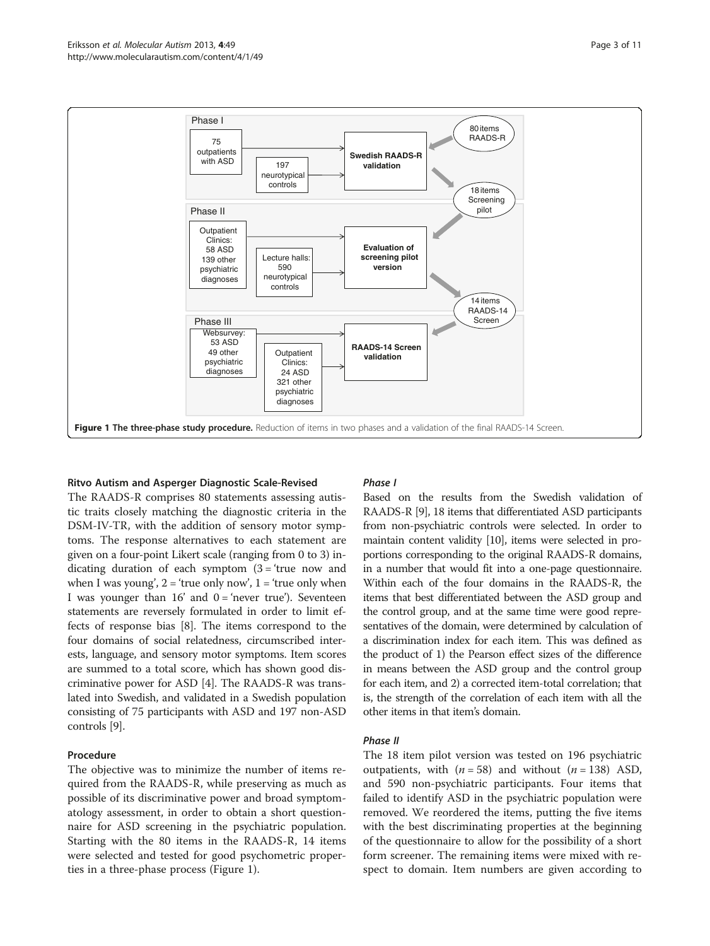<span id="page-2-0"></span>

#### Ritvo Autism and Asperger Diagnostic Scale-Revised

The RAADS-R comprises 80 statements assessing autistic traits closely matching the diagnostic criteria in the DSM-IV-TR, with the addition of sensory motor symptoms. The response alternatives to each statement are given on a four-point Likert scale (ranging from 0 to 3) indicating duration of each symptom  $(3 = 'true now and$ when I was young',  $2 =$  'true only now',  $1 =$  'true only when I was younger than  $16'$  and  $0 = 'never true'.$  Seventeen statements are reversely formulated in order to limit effects of response bias [[8](#page-10-0)]. The items correspond to the four domains of social relatedness, circumscribed interests, language, and sensory motor symptoms. Item scores are summed to a total score, which has shown good discriminative power for ASD [\[4](#page-10-0)]. The RAADS-R was translated into Swedish, and validated in a Swedish population consisting of 75 participants with ASD and 197 non-ASD controls [[9\]](#page-10-0).

#### Procedure

The objective was to minimize the number of items required from the RAADS-R, while preserving as much as possible of its discriminative power and broad symptomatology assessment, in order to obtain a short questionnaire for ASD screening in the psychiatric population. Starting with the 80 items in the RAADS-R, 14 items were selected and tested for good psychometric properties in a three-phase process (Figure 1).

#### Phase I

Based on the results from the Swedish validation of RAADS-R [\[9](#page-10-0)], 18 items that differentiated ASD participants from non-psychiatric controls were selected. In order to maintain content validity [\[10](#page-10-0)], items were selected in proportions corresponding to the original RAADS-R domains, in a number that would fit into a one-page questionnaire. Within each of the four domains in the RAADS-R, the items that best differentiated between the ASD group and the control group, and at the same time were good representatives of the domain, were determined by calculation of a discrimination index for each item. This was defined as the product of 1) the Pearson effect sizes of the difference in means between the ASD group and the control group for each item, and 2) a corrected item-total correlation; that is, the strength of the correlation of each item with all the other items in that item's domain.

#### Phase II

The 18 item pilot version was tested on 196 psychiatric outpatients, with  $(n = 58)$  and without  $(n = 138)$  ASD, and 590 non-psychiatric participants. Four items that failed to identify ASD in the psychiatric population were removed. We reordered the items, putting the five items with the best discriminating properties at the beginning of the questionnaire to allow for the possibility of a short form screener. The remaining items were mixed with respect to domain. Item numbers are given according to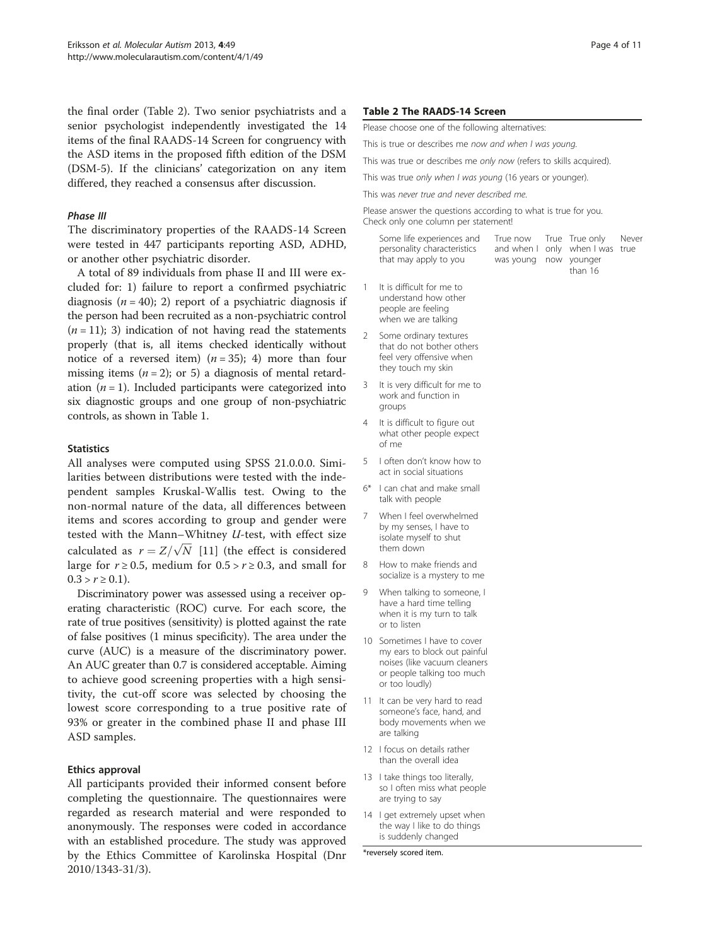the final order (Table 2). Two senior psychiatrists and a senior psychologist independently investigated the 14 items of the final RAADS-14 Screen for congruency with the ASD items in the proposed fifth edition of the DSM (DSM-5). If the clinicians' categorization on any item differed, they reached a consensus after discussion.

#### Phase III

The discriminatory properties of the RAADS-14 Screen were tested in 447 participants reporting ASD, ADHD, or another other psychiatric disorder.

A total of 89 individuals from phase II and III were excluded for: 1) failure to report a confirmed psychiatric diagnosis ( $n = 40$ ); 2) report of a psychiatric diagnosis if the person had been recruited as a non-psychiatric control  $(n = 11)$ ; 3) indication of not having read the statements properly (that is, all items checked identically without notice of a reversed item)  $(n = 35)$ ; 4) more than four missing items ( $n = 2$ ); or 5) a diagnosis of mental retardation  $(n = 1)$ . Included participants were categorized into six diagnostic groups and one group of non-psychiatric controls, as shown in Table [1](#page-1-0).

#### **Statistics**

All analyses were computed using SPSS 21.0.0.0. Similarities between distributions were tested with the independent samples Kruskal-Wallis test. Owing to the non-normal nature of the data, all differences between items and scores according to group and gender were tested with the Mann–Whitney  $U$ -test, with effect size tested with the Mann-Whitney *U*-test, with effect size<br>calculated as  $r = Z/\sqrt{N}$  [\[11](#page-10-0)] (the effect is considered large for  $r \ge 0.5$ , medium for  $0.5 > r \ge 0.3$ , and small for  $0.3 > r \ge 0.1$ ).

Discriminatory power was assessed using a receiver operating characteristic (ROC) curve. For each score, the rate of true positives (sensitivity) is plotted against the rate of false positives (1 minus specificity). The area under the curve (AUC) is a measure of the discriminatory power. An AUC greater than 0.7 is considered acceptable. Aiming to achieve good screening properties with a high sensitivity, the cut-off score was selected by choosing the lowest score corresponding to a true positive rate of 93% or greater in the combined phase II and phase III ASD samples.

#### Ethics approval

All participants provided their informed consent before completing the questionnaire. The questionnaires were regarded as research material and were responded to anonymously. The responses were coded in accordance with an established procedure. The study was approved by the Ethics Committee of Karolinska Hospital (Dnr 2010/1343-31/3).

#### Table 2 The RAADS-14 Screen

Please choose one of the following alternatives:

This is true or describes me now and when I was young.

This was true or describes me only now (refers to skills acquired).

This was true only when I was young (16 years or younger).

This was never true and never described me.

Please answer the questions according to what is true for you. Check only one column per statement!

| Some life experiences and<br>personality characteristics |                       | True now True True only Never<br>and when I only when I was true |  |
|----------------------------------------------------------|-----------------------|------------------------------------------------------------------|--|
| that may apply to you                                    | was young now younger | than 16                                                          |  |

- 1 It is difficult for me to understand how other people are feeling when we are talking
- 2 Some ordinary textures that do not bother others feel very offensive when they touch my skin
- 3 It is very difficult for me to work and function in groups
- 4 It is difficult to figure out what other people expect of me
- 5 I often don't know how to act in social situations
- 6\* I can chat and make small talk with people
- 7 When I feel overwhelmed by my senses, I have to isolate myself to shut them down
- 8 How to make friends and socialize is a mystery to me
- 9 When talking to someone, I have a hard time telling when it is my turn to talk or to listen
- 10 Sometimes I have to cover my ears to block out painful noises (like vacuum cleaners or people talking too much or too loudly)
- 11 It can be very hard to read someone's face, hand, and body movements when we are talking
- 12 I focus on details rather than the overall idea
- 13 I take things too literally, so I often miss what people are trying to say
- 14 I get extremely upset when the way I like to do things is suddenly changed

\*reversely scored item.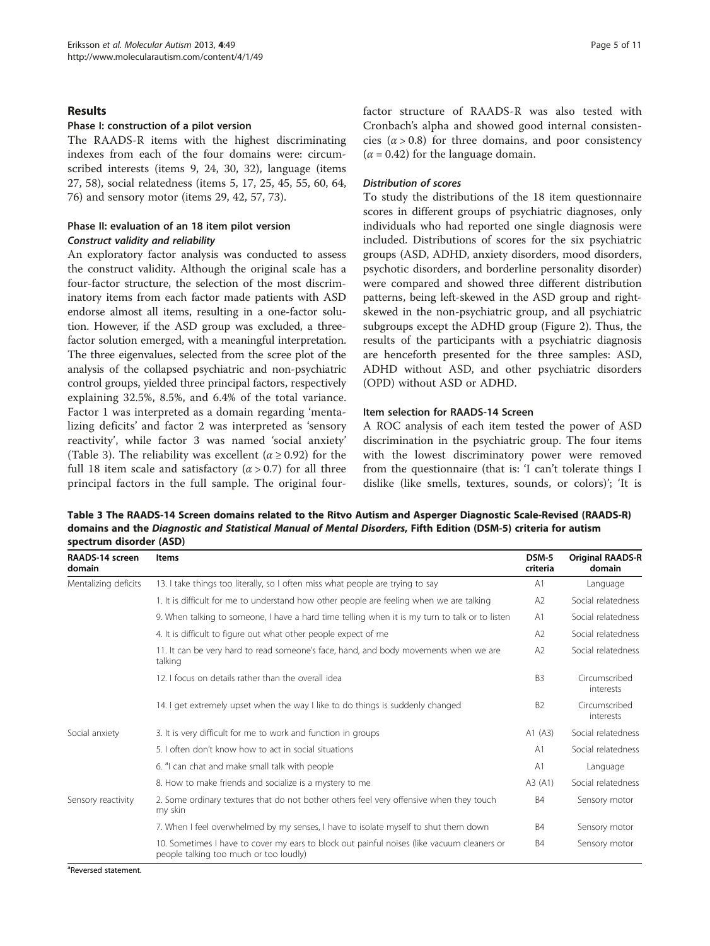#### <span id="page-4-0"></span>Results

#### Phase I: construction of a pilot version

The RAADS-R items with the highest discriminating indexes from each of the four domains were: circumscribed interests (items 9, 24, 30, 32), language (items 27, 58), social relatedness (items 5, 17, 25, 45, 55, 60, 64, 76) and sensory motor (items 29, 42, 57, 73).

#### Phase II: evaluation of an 18 item pilot version Construct validity and reliability

An exploratory factor analysis was conducted to assess the construct validity. Although the original scale has a four-factor structure, the selection of the most discriminatory items from each factor made patients with ASD endorse almost all items, resulting in a one-factor solution. However, if the ASD group was excluded, a threefactor solution emerged, with a meaningful interpretation. The three eigenvalues, selected from the scree plot of the analysis of the collapsed psychiatric and non-psychiatric control groups, yielded three principal factors, respectively explaining 32.5%, 8.5%, and 6.4% of the total variance. Factor 1 was interpreted as a domain regarding 'mentalizing deficits' and factor 2 was interpreted as 'sensory reactivity', while factor 3 was named 'social anxiety' (Table 3). The reliability was excellent ( $\alpha \ge 0.92$ ) for the full 18 item scale and satisfactory  $(\alpha > 0.7)$  for all three principal factors in the full sample. The original fourfactor structure of RAADS-R was also tested with Cronbach's alpha and showed good internal consistencies  $(\alpha > 0.8)$  for three domains, and poor consistency  $(\alpha = 0.42)$  for the language domain.

#### Distribution of scores

To study the distributions of the 18 item questionnaire scores in different groups of psychiatric diagnoses, only individuals who had reported one single diagnosis were included. Distributions of scores for the six psychiatric groups (ASD, ADHD, anxiety disorders, mood disorders, psychotic disorders, and borderline personality disorder) were compared and showed three different distribution patterns, being left-skewed in the ASD group and rightskewed in the non-psychiatric group, and all psychiatric subgroups except the ADHD group (Figure [2](#page-5-0)). Thus, the results of the participants with a psychiatric diagnosis are henceforth presented for the three samples: ASD, ADHD without ASD, and other psychiatric disorders (OPD) without ASD or ADHD.

#### Item selection for RAADS-14 Screen

A ROC analysis of each item tested the power of ASD discrimination in the psychiatric group. The four items with the lowest discriminatory power were removed from the questionnaire (that is: 'I can't tolerate things I dislike (like smells, textures, sounds, or colors)'; 'It is

Table 3 The RAADS-14 Screen domains related to the Ritvo Autism and Asperger Diagnostic Scale-Revised (RAADS-R) domains and the Diagnostic and Statistical Manual of Mental Disorders, Fifth Edition (DSM-5) criteria for autism spectrum disorder (ASD)

| RAADS-14 screen<br>domain | <b>Items</b>                                                                                                                         | DSM-5<br>criteria | <b>Original RAADS-R</b><br>domain |
|---------------------------|--------------------------------------------------------------------------------------------------------------------------------------|-------------------|-----------------------------------|
| Mentalizing deficits      | 13. I take things too literally, so I often miss what people are trying to say                                                       | A <sub>1</sub>    | Language                          |
|                           | 1. It is difficult for me to understand how other people are feeling when we are talking                                             | A2                | Social relatedness                |
|                           | 9. When talking to someone, I have a hard time telling when it is my turn to talk or to listen                                       | A1                | Social relatedness                |
|                           | 4. It is difficult to figure out what other people expect of me                                                                      | A2                | Social relatedness                |
|                           | 11. It can be very hard to read someone's face, hand, and body movements when we are<br>talking                                      | A2                | Social relatedness                |
|                           | 12. I focus on details rather than the overall idea                                                                                  | B <sub>3</sub>    | Circumscribed<br>interests        |
|                           | 14. I get extremely upset when the way I like to do things is suddenly changed                                                       | B <sub>2</sub>    | Circumscribed<br>interests        |
| Social anxiety            | 3. It is very difficult for me to work and function in groups                                                                        | A1 $(A3)$         | Social relatedness                |
|                           | 5. Loften don't know how to act in social situations                                                                                 | A1                | Social relatedness                |
|                           | 6. <sup>a</sup> l can chat and make small talk with people                                                                           | A1                | Language                          |
|                           | 8. How to make friends and socialize is a mystery to me                                                                              | A3 (A1)           | Social relatedness                |
| Sensory reactivity        | 2. Some ordinary textures that do not bother others feel very offensive when they touch<br>my skin                                   | <b>B4</b>         | Sensory motor                     |
|                           | 7. When I feel overwhelmed by my senses, I have to isolate myself to shut them down                                                  | <b>B4</b>         | Sensory motor                     |
|                           | 10. Sometimes I have to cover my ears to block out painful noises (like vacuum cleaners or<br>people talking too much or too loudly) | <b>B4</b>         | Sensory motor                     |

<sup>a</sup>Reversed statement.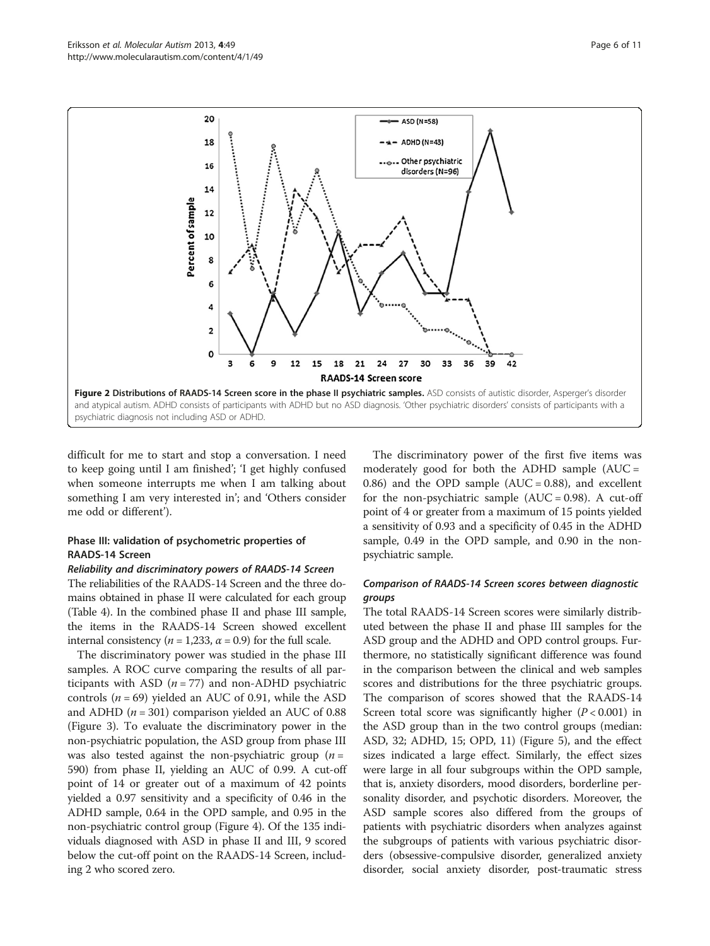<span id="page-5-0"></span>

difficult for me to start and stop a conversation. I need to keep going until I am finished'; 'I get highly confused when someone interrupts me when I am talking about something I am very interested in'; and 'Others consider me odd or different').

#### Phase III: validation of psychometric properties of RAADS-14 Screen

#### Reliability and discriminatory powers of RAADS-14 Screen

The reliabilities of the RAADS-14 Screen and the three domains obtained in phase II were calculated for each group (Table [4](#page-6-0)). In the combined phase II and phase III sample, the items in the RAADS-14 Screen showed excellent internal consistency ( $n = 1,233$ ,  $\alpha = 0.9$ ) for the full scale.

The discriminatory power was studied in the phase III samples. A ROC curve comparing the results of all participants with ASD  $(n = 77)$  and non-ADHD psychiatric controls ( $n = 69$ ) yielded an AUC of 0.91, while the ASD and ADHD ( $n = 301$ ) comparison yielded an AUC of 0.88 (Figure [3](#page-6-0)). To evaluate the discriminatory power in the non-psychiatric population, the ASD group from phase III was also tested against the non-psychiatric group  $(n =$ 590) from phase II, yielding an AUC of 0.99. A cut-off point of 14 or greater out of a maximum of 42 points yielded a 0.97 sensitivity and a specificity of 0.46 in the ADHD sample, 0.64 in the OPD sample, and 0.95 in the non-psychiatric control group (Figure [4\)](#page-7-0). Of the 135 individuals diagnosed with ASD in phase II and III, 9 scored below the cut-off point on the RAADS-14 Screen, including 2 who scored zero.

The discriminatory power of the first five items was moderately good for both the ADHD sample (AUC = 0.86) and the OPD sample  $(AUC = 0.88)$ , and excellent for the non-psychiatric sample  $(AUC = 0.98)$ . A cut-off point of 4 or greater from a maximum of 15 points yielded a sensitivity of 0.93 and a specificity of 0.45 in the ADHD sample, 0.49 in the OPD sample, and 0.90 in the nonpsychiatric sample.

#### Comparison of RAADS-14 Screen scores between diagnostic groups

The total RAADS-14 Screen scores were similarly distributed between the phase II and phase III samples for the ASD group and the ADHD and OPD control groups. Furthermore, no statistically significant difference was found in the comparison between the clinical and web samples scores and distributions for the three psychiatric groups. The comparison of scores showed that the RAADS-14 Screen total score was significantly higher  $(P < 0.001)$  in the ASD group than in the two control groups (median: ASD, 32; ADHD, 15; OPD, 11) (Figure [5](#page-7-0)), and the effect sizes indicated a large effect. Similarly, the effect sizes were large in all four subgroups within the OPD sample, that is, anxiety disorders, mood disorders, borderline personality disorder, and psychotic disorders. Moreover, the ASD sample scores also differed from the groups of patients with psychiatric disorders when analyzes against the subgroups of patients with various psychiatric disorders (obsessive-compulsive disorder, generalized anxiety disorder, social anxiety disorder, post-traumatic stress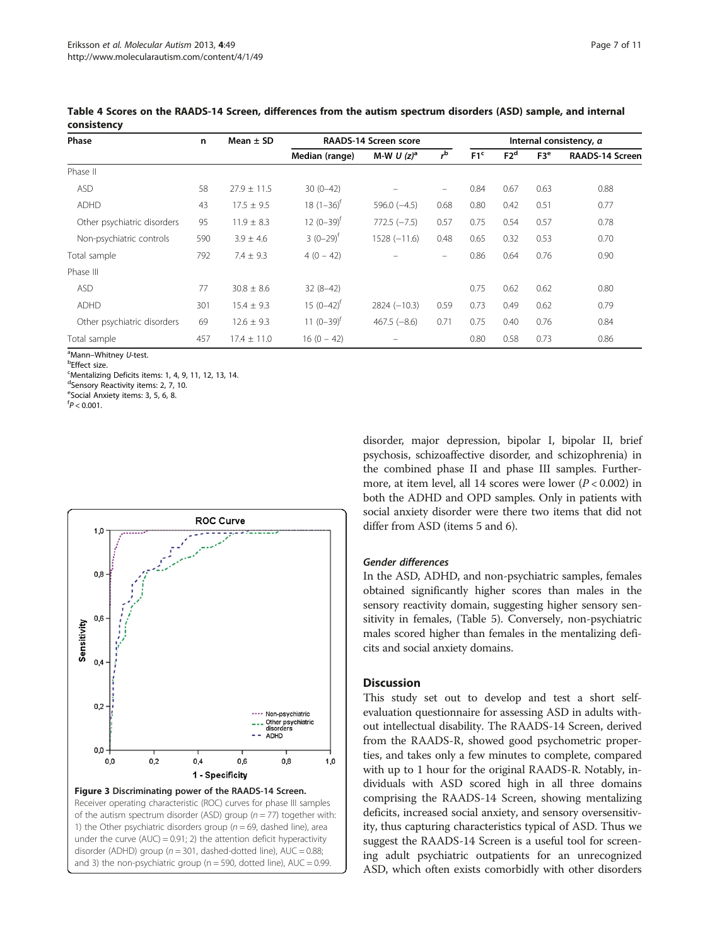| Phase                       | n   | Mean $\pm$ SD   | <b>RAADS-14 Screen score</b> |                  |                   | Internal consistency, $\alpha$ |                 |                 |                        |
|-----------------------------|-----|-----------------|------------------------------|------------------|-------------------|--------------------------------|-----------------|-----------------|------------------------|
|                             |     |                 | Median (range)               | M-W U $(z)^a$    | $r^{b}$           | F1 <sup>c</sup>                | F2 <sup>d</sup> | F3 <sup>e</sup> | <b>RAADS-14 Screen</b> |
| Phase II                    |     |                 |                              |                  |                   |                                |                 |                 |                        |
| <b>ASD</b>                  | 58  | $27.9 \pm 11.5$ | $30(0-42)$                   |                  | $\qquad \qquad =$ | 0.84                           | 0.67            | 0.63            | 0.88                   |
| ADHD                        | 43  | $17.5 \pm 9.5$  | $18(1-36)^{t}$               | $596.0$ $(-4.5)$ | 0.68              | 0.80                           | 0.42            | 0.51            | 0.77                   |
| Other psychiatric disorders | 95  | $11.9 \pm 8.3$  | $12 (0 - 39)^t$              | $772.5 (-7.5)$   | 0.57              | 0.75                           | 0.54            | 0.57            | 0.78                   |
| Non-psychiatric controls    | 590 | $3.9 \pm 4.6$   | $3(0-29)^{t}$                | $1528 (-11.6)$   | 0.48              | 0.65                           | 0.32            | 0.53            | 0.70                   |
| Total sample                | 792 | $7.4 \pm 9.3$   | $4(0 - 42)$                  |                  |                   | 0.86                           | 0.64            | 0.76            | 0.90                   |
| Phase III                   |     |                 |                              |                  |                   |                                |                 |                 |                        |
| <b>ASD</b>                  | 77  | $30.8 \pm 8.6$  | $32(8-42)$                   |                  |                   | 0.75                           | 0.62            | 0.62            | 0.80                   |
| ADHD                        | 301 | $15.4 \pm 9.3$  | $15(0-42)^{t}$               | $2824 (-10.3)$   | 0.59              | 0.73                           | 0.49            | 0.62            | 0.79                   |
| Other psychiatric disorders | 69  | $12.6 \pm 9.3$  | 11 $(0-39)^{t}$              | $467.5(-8.6)$    | 0.71              | 0.75                           | 0.40            | 0.76            | 0.84                   |
| Total sample                | 457 | $17.4 \pm 11.0$ | $16(0 - 42)$                 |                  |                   | 0.80                           | 0.58            | 0.73            | 0.86                   |

<span id="page-6-0"></span>Table 4 Scores on the RAADS-14 Screen, differences from the autism spectrum disorders (ASD) sample, and internal consistency

<sup>a</sup>Mann–Whitney *U*-test.<br><sup>b</sup>Effect size

**b**Effect size.

<sup>c</sup>Mentalizing Deficits items: 1, 4, 9, 11, 12, 13, 14.

<sup>d</sup>Sensory Reactivity items: 2, 7, 10.

<sup>e</sup>Social Anxiety items: 3, 5, 6, 8.

 $f$ P < 0.001.



and 3) the non-psychiatric group ( $n = 590$ , dotted line), AUC = 0.99.

disorder, major depression, bipolar I, bipolar II, brief psychosis, schizoaffective disorder, and schizophrenia) in the combined phase II and phase III samples. Furthermore, at item level, all 14 scores were lower (P < 0.002) in both the ADHD and OPD samples. Only in patients with social anxiety disorder were there two items that did not differ from ASD (items 5 and 6).

#### Gender differences

In the ASD, ADHD, and non-psychiatric samples, females obtained significantly higher scores than males in the sensory reactivity domain, suggesting higher sensory sensitivity in females, (Table [5](#page-8-0)). Conversely, non-psychiatric males scored higher than females in the mentalizing deficits and social anxiety domains.

#### **Discussion**

This study set out to develop and test a short selfevaluation questionnaire for assessing ASD in adults without intellectual disability. The RAADS-14 Screen, derived from the RAADS-R, showed good psychometric properties, and takes only a few minutes to complete, compared with up to 1 hour for the original RAADS-R. Notably, individuals with ASD scored high in all three domains comprising the RAADS-14 Screen, showing mentalizing deficits, increased social anxiety, and sensory oversensitivity, thus capturing characteristics typical of ASD. Thus we suggest the RAADS-14 Screen is a useful tool for screening adult psychiatric outpatients for an unrecognized ASD, which often exists comorbidly with other disorders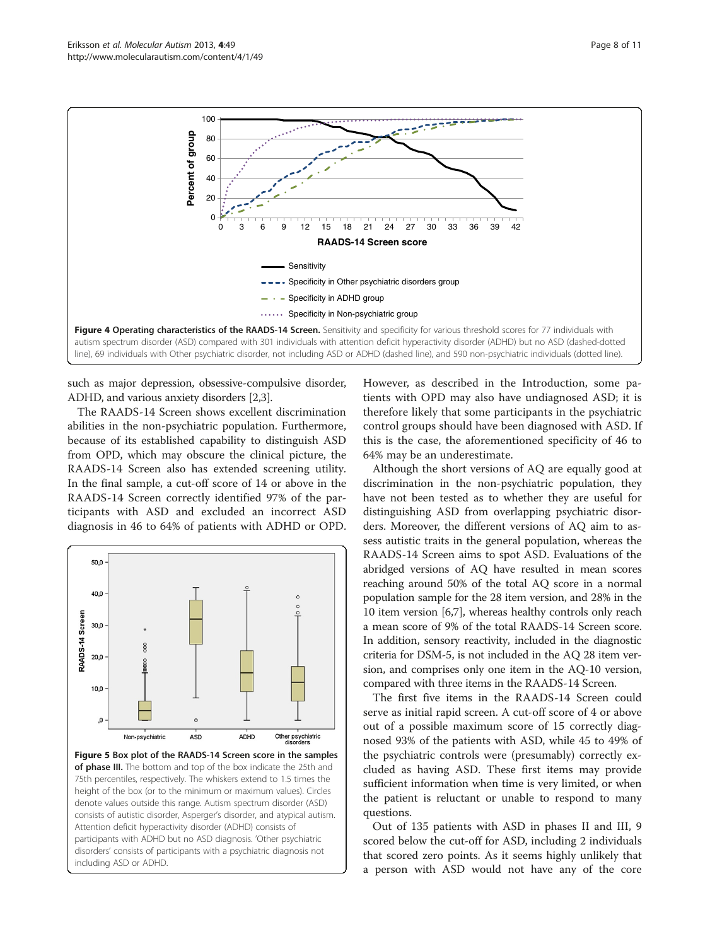<span id="page-7-0"></span>

such as major depression, obsessive-compulsive disorder, ADHD, and various anxiety disorders [\[2,3\]](#page-10-0).

The RAADS-14 Screen shows excellent discrimination abilities in the non-psychiatric population. Furthermore, because of its established capability to distinguish ASD from OPD, which may obscure the clinical picture, the RAADS-14 Screen also has extended screening utility. In the final sample, a cut-off score of 14 or above in the RAADS-14 Screen correctly identified 97% of the participants with ASD and excluded an incorrect ASD diagnosis in 46 to 64% of patients with ADHD or OPD.



Figure 5 Box plot of the RAADS-14 Screen score in the samples of phase III. The bottom and top of the box indicate the 25th and 75th percentiles, respectively. The whiskers extend to 1.5 times the height of the box (or to the minimum or maximum values). Circles denote values outside this range. Autism spectrum disorder (ASD) consists of autistic disorder, Asperger's disorder, and atypical autism. Attention deficit hyperactivity disorder (ADHD) consists of participants with ADHD but no ASD diagnosis. 'Other psychiatric disorders' consists of participants with a psychiatric diagnosis not including ASD or ADHD.

However, as described in the Introduction, some patients with OPD may also have undiagnosed ASD; it is therefore likely that some participants in the psychiatric control groups should have been diagnosed with ASD. If this is the case, the aforementioned specificity of 46 to 64% may be an underestimate.

Although the short versions of AQ are equally good at discrimination in the non-psychiatric population, they have not been tested as to whether they are useful for distinguishing ASD from overlapping psychiatric disorders. Moreover, the different versions of AQ aim to assess autistic traits in the general population, whereas the RAADS-14 Screen aims to spot ASD. Evaluations of the abridged versions of AQ have resulted in mean scores reaching around 50% of the total AQ score in a normal population sample for the 28 item version, and 28% in the 10 item version [[6,7](#page-10-0)], whereas healthy controls only reach a mean score of 9% of the total RAADS-14 Screen score. In addition, sensory reactivity, included in the diagnostic criteria for DSM-5, is not included in the AQ 28 item version, and comprises only one item in the AQ-10 version, compared with three items in the RAADS-14 Screen.

The first five items in the RAADS-14 Screen could serve as initial rapid screen. A cut-off score of 4 or above out of a possible maximum score of 15 correctly diagnosed 93% of the patients with ASD, while 45 to 49% of the psychiatric controls were (presumably) correctly excluded as having ASD. These first items may provide sufficient information when time is very limited, or when the patient is reluctant or unable to respond to many questions.

Out of 135 patients with ASD in phases II and III, 9 scored below the cut-off for ASD, including 2 individuals that scored zero points. As it seems highly unlikely that a person with ASD would not have any of the core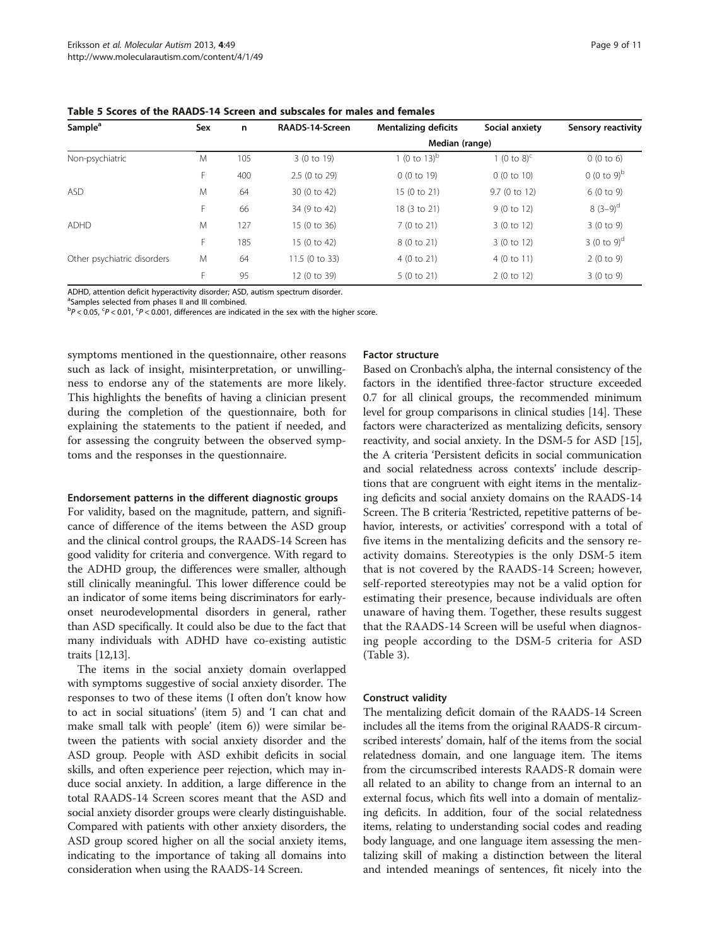| Sample <sup>a</sup>         | Sex | n   | RAADS-14-Screen | <b>Mentalizing deficits</b> | Social anxiety          | <b>Sensory reactivity</b> |  |  |  |
|-----------------------------|-----|-----|-----------------|-----------------------------|-------------------------|---------------------------|--|--|--|
|                             |     |     | Median (range)  |                             |                         |                           |  |  |  |
| Non-psychiatric             | M   | 105 | 3 (0 to 19)     | 1 (0 to $13$ ) <sup>b</sup> | 1 (0 to 8) <sup>c</sup> | 0(0 to 6)                 |  |  |  |
|                             | F   | 400 | 2.5 (0 to 29)   | 0(0 to 19)                  | 0(0 to 10)              | $0(0 to 9)^b$             |  |  |  |
| <b>ASD</b>                  | M   | 64  | 30 (0 to 42)    | 15 (0 to 21)                | 9.7 (0 to 12)           | 6(0 to 9)                 |  |  |  |
|                             | F   | 66  | 34 (9 to 42)    | 18 (3 to 21)                | 9(0 to 12)              | $8(3-9)^d$                |  |  |  |
| <b>ADHD</b>                 | M   | 127 | 15 (0 to 36)    | 7 (0 to 21)                 | 3(0 to 12)              | 3(0 to 9)                 |  |  |  |
|                             | F   | 185 | 15 (0 to 42)    | 8 (0 to 21)                 | 3(0 to 12)              | 3 (0 to 9) <sup>d</sup>   |  |  |  |
| Other psychiatric disorders | M   | 64  | 11.5 (0 to 33)  | 4(0 to 21)                  | 4(0 to 11)              | 2(0 to 9)                 |  |  |  |
|                             | E   | 95  | 12 (0 to 39)    | 5 (0 to 21)                 | 2(0 to 12)              | 3(0 to 9)                 |  |  |  |

<span id="page-8-0"></span>Table 5 Scores of the RAADS-14 Screen and subscales for males and females

ADHD, attention deficit hyperactivity disorder; ASD, autism spectrum disorder.

<sup>a</sup>Samples selected from phases II and III combined.

 $\overline{P}P < 0.05$ ,  $\overline{P} < 0.01$ ,  $\overline{P} < 0.001$ , differences are indicated in the sex with the higher score.

symptoms mentioned in the questionnaire, other reasons such as lack of insight, misinterpretation, or unwillingness to endorse any of the statements are more likely. This highlights the benefits of having a clinician present during the completion of the questionnaire, both for explaining the statements to the patient if needed, and for assessing the congruity between the observed symptoms and the responses in the questionnaire.

#### Endorsement patterns in the different diagnostic groups

For validity, based on the magnitude, pattern, and significance of difference of the items between the ASD group and the clinical control groups, the RAADS-14 Screen has good validity for criteria and convergence. With regard to the ADHD group, the differences were smaller, although still clinically meaningful. This lower difference could be an indicator of some items being discriminators for earlyonset neurodevelopmental disorders in general, rather than ASD specifically. It could also be due to the fact that many individuals with ADHD have co-existing autistic traits [[12,13](#page-10-0)].

The items in the social anxiety domain overlapped with symptoms suggestive of social anxiety disorder. The responses to two of these items (I often don't know how to act in social situations' (item 5) and 'I can chat and make small talk with people' (item 6)) were similar between the patients with social anxiety disorder and the ASD group. People with ASD exhibit deficits in social skills, and often experience peer rejection, which may induce social anxiety. In addition, a large difference in the total RAADS-14 Screen scores meant that the ASD and social anxiety disorder groups were clearly distinguishable. Compared with patients with other anxiety disorders, the ASD group scored higher on all the social anxiety items, indicating to the importance of taking all domains into consideration when using the RAADS-14 Screen.

#### Factor structure

Based on Cronbach's alpha, the internal consistency of the factors in the identified three-factor structure exceeded 0.7 for all clinical groups, the recommended minimum level for group comparisons in clinical studies [[14](#page-10-0)]. These factors were characterized as mentalizing deficits, sensory reactivity, and social anxiety. In the DSM-5 for ASD [[15](#page-10-0)], the A criteria 'Persistent deficits in social communication and social relatedness across contexts' include descriptions that are congruent with eight items in the mentalizing deficits and social anxiety domains on the RAADS-14 Screen. The B criteria 'Restricted, repetitive patterns of behavior, interests, or activities' correspond with a total of five items in the mentalizing deficits and the sensory reactivity domains. Stereotypies is the only DSM-5 item that is not covered by the RAADS-14 Screen; however, self-reported stereotypies may not be a valid option for estimating their presence, because individuals are often unaware of having them. Together, these results suggest that the RAADS-14 Screen will be useful when diagnosing people according to the DSM-5 criteria for ASD (Table [3](#page-4-0)).

#### Construct validity

The mentalizing deficit domain of the RAADS-14 Screen includes all the items from the original RAADS-R circumscribed interests' domain, half of the items from the social relatedness domain, and one language item. The items from the circumscribed interests RAADS-R domain were all related to an ability to change from an internal to an external focus, which fits well into a domain of mentalizing deficits. In addition, four of the social relatedness items, relating to understanding social codes and reading body language, and one language item assessing the mentalizing skill of making a distinction between the literal and intended meanings of sentences, fit nicely into the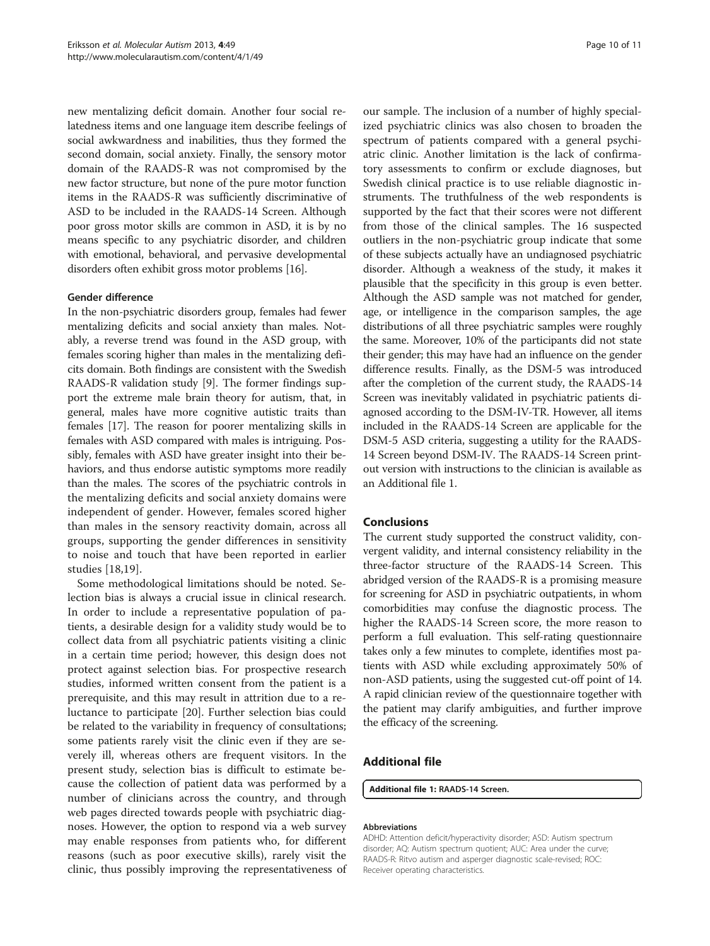new mentalizing deficit domain. Another four social relatedness items and one language item describe feelings of social awkwardness and inabilities, thus they formed the second domain, social anxiety. Finally, the sensory motor domain of the RAADS-R was not compromised by the new factor structure, but none of the pure motor function items in the RAADS-R was sufficiently discriminative of ASD to be included in the RAADS-14 Screen. Although poor gross motor skills are common in ASD, it is by no means specific to any psychiatric disorder, and children with emotional, behavioral, and pervasive developmental disorders often exhibit gross motor problems [[16](#page-10-0)].

#### Gender difference

In the non-psychiatric disorders group, females had fewer mentalizing deficits and social anxiety than males. Notably, a reverse trend was found in the ASD group, with females scoring higher than males in the mentalizing deficits domain. Both findings are consistent with the Swedish RAADS-R validation study [[9\]](#page-10-0). The former findings support the extreme male brain theory for autism, that, in general, males have more cognitive autistic traits than females [[17](#page-10-0)]. The reason for poorer mentalizing skills in females with ASD compared with males is intriguing. Possibly, females with ASD have greater insight into their behaviors, and thus endorse autistic symptoms more readily than the males. The scores of the psychiatric controls in the mentalizing deficits and social anxiety domains were independent of gender. However, females scored higher than males in the sensory reactivity domain, across all groups, supporting the gender differences in sensitivity to noise and touch that have been reported in earlier studies [\[18](#page-10-0),[19\]](#page-10-0).

Some methodological limitations should be noted. Selection bias is always a crucial issue in clinical research. In order to include a representative population of patients, a desirable design for a validity study would be to collect data from all psychiatric patients visiting a clinic in a certain time period; however, this design does not protect against selection bias. For prospective research studies, informed written consent from the patient is a prerequisite, and this may result in attrition due to a reluctance to participate [\[20\]](#page-10-0). Further selection bias could be related to the variability in frequency of consultations; some patients rarely visit the clinic even if they are severely ill, whereas others are frequent visitors. In the present study, selection bias is difficult to estimate because the collection of patient data was performed by a number of clinicians across the country, and through web pages directed towards people with psychiatric diagnoses. However, the option to respond via a web survey may enable responses from patients who, for different reasons (such as poor executive skills), rarely visit the clinic, thus possibly improving the representativeness of

our sample. The inclusion of a number of highly specialized psychiatric clinics was also chosen to broaden the spectrum of patients compared with a general psychiatric clinic. Another limitation is the lack of confirmatory assessments to confirm or exclude diagnoses, but Swedish clinical practice is to use reliable diagnostic instruments. The truthfulness of the web respondents is supported by the fact that their scores were not different from those of the clinical samples. The 16 suspected outliers in the non-psychiatric group indicate that some of these subjects actually have an undiagnosed psychiatric disorder. Although a weakness of the study, it makes it plausible that the specificity in this group is even better. Although the ASD sample was not matched for gender, age, or intelligence in the comparison samples, the age distributions of all three psychiatric samples were roughly the same. Moreover, 10% of the participants did not state their gender; this may have had an influence on the gender difference results. Finally, as the DSM-5 was introduced after the completion of the current study, the RAADS-14 Screen was inevitably validated in psychiatric patients diagnosed according to the DSM-IV-TR. However, all items included in the RAADS-14 Screen are applicable for the DSM-5 ASD criteria, suggesting a utility for the RAADS-14 Screen beyond DSM-IV. The RAADS-14 Screen printout version with instructions to the clinician is available as an Additional file 1.

#### Conclusions

The current study supported the construct validity, convergent validity, and internal consistency reliability in the three-factor structure of the RAADS-14 Screen. This abridged version of the RAADS-R is a promising measure for screening for ASD in psychiatric outpatients, in whom comorbidities may confuse the diagnostic process. The higher the RAADS-14 Screen score, the more reason to perform a full evaluation. This self-rating questionnaire takes only a few minutes to complete, identifies most patients with ASD while excluding approximately 50% of non-ASD patients, using the suggested cut-off point of 14. A rapid clinician review of the questionnaire together with the patient may clarify ambiguities, and further improve the efficacy of the screening.

#### Additional file

[Additional file 1:](http://www.biomedcentral.com/content/supplementary/2040-2392-4-49-S1.pdf) RAADS-14 Screen.

#### Abbreviations

ADHD: Attention deficit/hyperactivity disorder; ASD: Autism spectrum disorder; AQ: Autism spectrum quotient; AUC: Area under the curve; RAADS-R: Ritvo autism and asperger diagnostic scale-revised; ROC: Receiver operating characteristics.